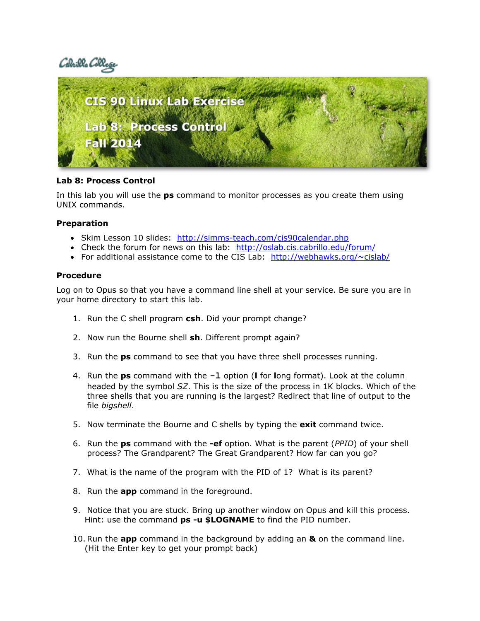# Cabrills Coll



## **Lab 8: Process Control**

In this lab you will use the **ps** command to monitor processes as you create them using UNIX commands.

### **Preparation**

- Skim Lesson 10 slides: http://simms-teach.com/cis90calendar.php
- Check the forum for news on this lab: <http://oslab.cis.cabrillo.edu/forum/>
- For additional assistance come to the CIS Lab:  $<http://webhawks.org/~cislab/>$  $<http://webhawks.org/~cislab/>$  $<http://webhawks.org/~cislab/>$

### **Procedure**

Log on to Opus so that you have a command line shell at your service. Be sure you are in your home directory to start this lab.

- 1. Run the C shell program **csh**. Did your prompt change?
- 2. Now run the Bourne shell **sh**. Different prompt again?
- 3. Run the **ps** command to see that you have three shell processes running.
- 4. Run the **ps** command with the **-l** option (**l** for **l**ong format). Look at the column headed by the symbol *SZ*. This is the size of the process in 1K blocks. Which of the three shells that you are running is the largest? Redirect that line of output to the file *bigshell*.
- 5. Now terminate the Bourne and C shells by typing the **exit** command twice.
- 6. Run the **ps** command with the **-ef** option. What is the parent (*PPID*) of your shell process? The Grandparent? The Great Grandparent? How far can you go?
- 7. What is the name of the program with the PID of 1? What is its parent?
- 8. Run the **app** command in the foreground.
- 9. Notice that you are stuck. Bring up another window on Opus and kill this process. Hint: use the command **ps -u \$LOGNAME** to find the PID number.
- 10.Run the **app** command in the background by adding an **&** on the command line. (Hit the Enter key to get your prompt back)